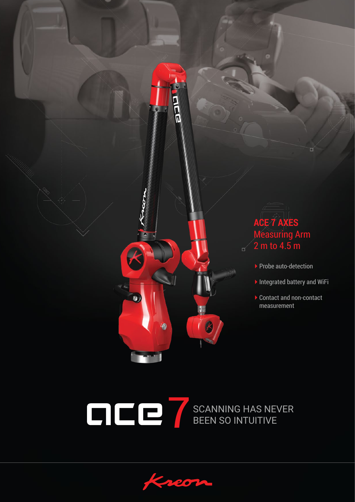



Yo,